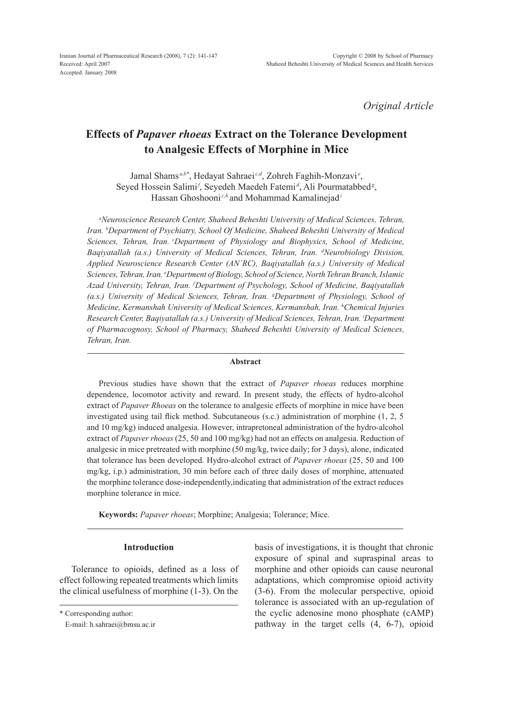*Original Article*

# **Effects of** *Papaver rhoeas* **Extract on the Tolerance Development to Analgesic Effects of Morphine in Mice**

Jamal Shams<sup>*a,b\**</sup>, Hedayat Sahraei<sup>*c,d*</sup>, Zohreh Faghih-Monzavi<sup>*e*</sup>, Seyed Hossein Salimi<sup>*f*</sup>, Seyedeh Maedeh Fatemi<sup>d</sup>, Ali Pourmatabbed<sup>g</sup>, Hassan Ghoshooni *c,h* and Mohammad Kamalinejad*<sup>i</sup>*

*a Neuroscience Research Center, Shaheed Beheshti University of Medical Sciences, Tehran, Iran. b Department of Psychiatry, School Of Medicine, Shaheed Beheshti University of Medical Sciences, Tehran, Iran. cDepartment of Physiology and Biophysics, School of Medicine, Baqiyatallah (a.s.) University of Medical Sciences, Tehran, Iran. d Neurobiology Division, Applied Neuroscience Research Center (AN`RC), Baqiyatallah (a.s.) University of Medical Sciences, Tehran, Iran. e Department of Biology, School of Science, North Tehran Branch, Islamic Azad University, Tehran, Iran. f Department of Psychology, School of Medicine, Baqiyatallah (a.s.) University of Medical Sciences, Tehran, Iran. g Department of Physiology, School of Medicine, Kermanshah University of Medical Sciences, Kermanshah, Iran. h Chemical Injuries Research Center, Baqiyatallah (a.s.) University of Medical Sciences, Tehran, Iran. i Department of Pharmacognosy, School of Pharmacy, Shaheed Beheshti University of Medical Sciences, Tehran, Iran.*

#### **Abstract**

Previous studies have shown that the extract of *Papaver rhoeas* reduces morphine dependence, locomotor activity and reward. In present study, the effects of hydro-alcohol extract of *Papaver Rhoeas* on the tolerance to analgesic effects of morphine in mice have been investigated using tail flick method. Subcutaneous (s.c.) administration of morphine (1, 2, 5 and 10 mg/kg) induced analgesia. However, intrapretoneal administration of the hydro-alcohol extract of *Papaver rhoeas* (25, 50 and 100 mg/kg) had not an effects on analgesia. Reduction of analgesic in mice pretreated with morphine (50 mg/kg, twice daily; for 3 days), alone, indicated that tolerance has been developed. Hydro-alcohol extract of *Papaver rhoeas* (25, 50 and 100 mg/kg, i.p.) administration, 30 min before each of three daily doses of morphine, attenuated the morphine tolerance dose-independently,indicating that administration of the extract reduces morphine tolerance in mice.

**Keywords:** *Papaver rhoeas*; Morphine; Analgesia; Tolerance; Mice.

#### **Introduction**

Tolerance to opioids, defined as a loss of effect following repeated treatments which limits the clinical usefulness of morphine (1-3). On the basis of investigations, it is thought that chronic exposure of spinal and supraspinal areas to morphine and other opioids can cause neuronal adaptations, which compromise opioid activity (3-6). From the molecular perspective, opioid tolerance is associated with an up-regulation of the cyclic adenosine mono phosphate (cAMP) pathway in the target cells (4, 6-7), opioid

<sup>\*</sup> Corresponding author:

E-mail: h.sahraei@bmsu.ac.ir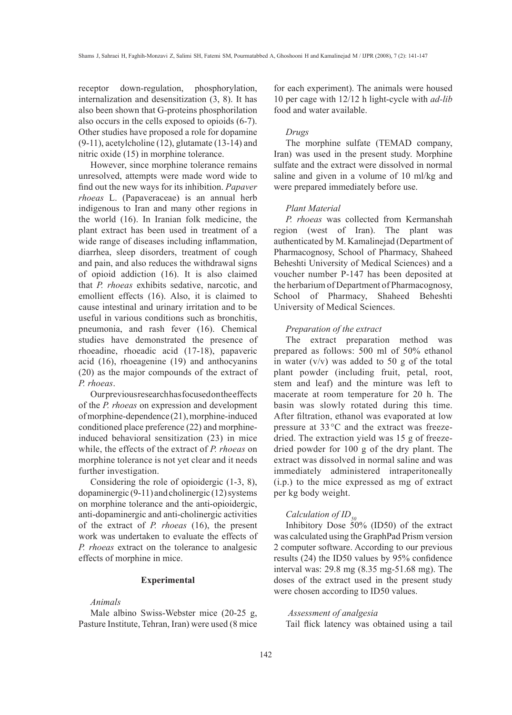receptor down-regulation, phosphorylation, internalization and desensitization (3, 8). It has also been shown that G-proteins phosphorilation also occurs in the cells exposed to opioids (6-7). Other studies have proposed a role for dopamine (9-11), acetylcholine (12), glutamate (13-14) and nitric oxide (15) in morphine tolerance.

However, since morphine tolerance remains unresolved, attempts were made word wide to find out the new ways for its inhibition. *Papaver rhoeas* L. (Papaveraceae) is an annual herb indigenous to Iran and many other regions in the world (16). In Iranian folk medicine, the plant extract has been used in treatment of a wide range of diseases including inflammation, diarrhea, sleep disorders, treatment of cough and pain, and also reduces the withdrawal signs of opioid addiction (16). It is also claimed that *P. rhoeas* exhibits sedative, narcotic, and emollient effects (16). Also, it is claimed to cause intestinal and urinary irritation and to be useful in various conditions such as bronchitis, pneumonia, and rash fever (16). Chemical studies have demonstrated the presence of rhoeadine, rhoeadic acid (17-18), papaveric acid (16), rhoeagenine (19) and anthocyanins (20) as the major compounds of the extract of *P. rhoeas*.

Our previous research has focused on the effects of the *P. rhoeas* on expression and development of morphine-dependence (21), morphine-induced conditioned place preference (22) and morphineinduced behavioral sensitization (23) in mice while, the effects of the extract of *P. rhoeas* on morphine tolerance is not yet clear and it needs further investigation.

Considering the role of opioidergic (1-3, 8), dopaminergic (9-11) and cholinergic (12) systems on morphine tolerance and the anti-opioidergic, anti-dopaminergic and anti-cholinergic activities of the extract of *P. rhoeas* (16), the present work was undertaken to evaluate the effects of *P. rhoeas* extract on the tolerance to analgesic effects of morphine in mice.

# **Experimental**

#### *Animals*

Male albino Swiss-Webster mice (20-25 g, Pasture Institute, Tehran, Iran) were used (8 mice for each experiment). The animals were housed 10 per cage with 12/12 h light‑cycle with *ad-lib* food and water available.

# *Drugs*

The morphine sulfate (TEMAD company, Iran) was used in the present study. Morphine sulfate and the extract were dissolved in normal saline and given in a volume of 10 ml/kg and were prepared immediately before use.

#### *Plant Material*

*P. rhoeas* was collected from Kermanshah region (west of Iran). The plant was authenticated by M. Kamalinejad (Department of Pharmacognosy, School of Pharmacy, Shaheed Beheshti University of Medical Sciences) and a voucher number P-147 has been deposited at the herbarium of Department of Pharmacognosy, School of Pharmacy, Shaheed Beheshti University of Medical Sciences.

### *Preparation of the extract*

The extract preparation method was prepared as follows: 500 ml of 50% ethanol in water  $(v/v)$  was added to 50 g of the total plant powder (including fruit, petal, root, stem and leaf) and the minture was left to macerate at room temperature for 20 h. The basin was slowly rotated during this time. After filtration, ethanol was evaporated at low pressure at 33°C and the extract was freezedried. The extraction yield was 15 g of freezedried powder for 100 g of the dry plant. The extract was dissolved in normal saline and was immediately administered intraperitoneally (i.p.) to the mice expressed as mg of extract per kg body weight.

# *Calculation of ID<sub>50</sub>*

Inhibitory Dose 50% (ID50) of the extract was calculated using the GraphPad Prism version 2 computer software. According to our previous results (24) the ID50 values by 95% confidence interval was: 29.8 mg (8.35 mg-51.68 mg). The doses of the extract used in the present study were chosen according to ID50 values.

# *Assessment of analgesia*

Tail flick latency was obtained using a tail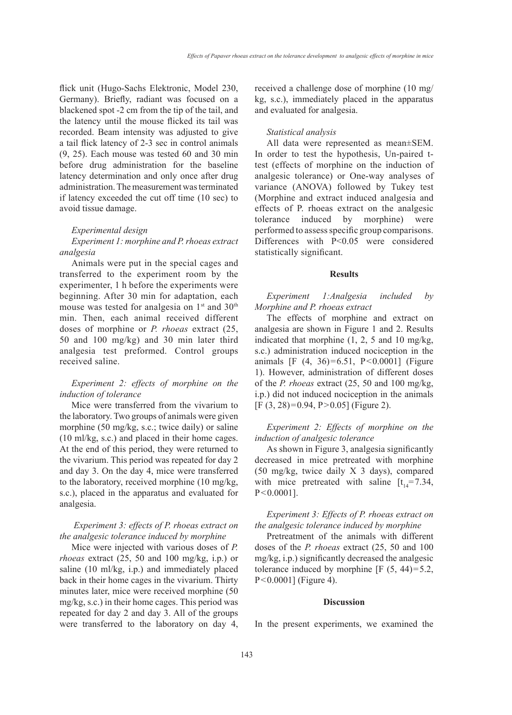flick unit (Hugo-Sachs Elektronic, Model 230, Germany). Briefly, radiant was focused on a blackened spot -2 cm from the tip of the tail, and the latency until the mouse flicked its tail was recorded. Beam intensity was adjusted to give a tail flick latency of 2-3 sec in control animals (9, 25). Each mouse was tested 60 and 30 min before drug administration for the baseline latency determination and only once after drug administration. The measurement was terminated if latency exceeded the cut off time (10 sec) to avoid tissue damage.

#### *Experimental design*

# *Experiment 1: morphine and P. rhoeas extract analgesia*

Animals were put in the special cages and transferred to the experiment room by the experimenter, 1 h before the experiments were beginning. After 30 min for adaptation, each mouse was tested for analgesia on  $1<sup>st</sup>$  and  $30<sup>th</sup>$ min. Then, each animal received different doses of morphine or *P. rhoeas* extract (25, 50 and 100 mg/kg) and 30 min later third analgesia test preformed. Control groups received saline.

# *Experiment 2: effects of morphine on the induction of tolerance*

Mice were transferred from the vivarium to the laboratory. Two groups of animals were given morphine (50 mg/kg, s.c.; twice daily) or saline (10 ml/kg, s.c.) and placed in their home cages. At the end of this period, they were returned to the vivarium. This period was repeated for day 2 and day 3. On the day 4, mice were transferred to the laboratory, received morphine (10 mg/kg, s.c.), placed in the apparatus and evaluated for analgesia.

# *Experiment 3: effects of P. rhoeas extract on the analgesic tolerance induced by morphine*

Mice were injected with various doses of *P. rhoeas* extract (25, 50 and 100 mg/kg, i.p.) or saline (10 ml/kg, i.p.) and immediately placed back in their home cages in the vivarium. Thirty minutes later, mice were received morphine (50 mg/kg, s.c.) in their home cages. This period was repeated for day 2 and day 3. All of the groups were transferred to the laboratory on day 4, received a challenge dose of morphine (10 mg/ kg, s.c.), immediately placed in the apparatus and evaluated for analgesia.

# *Statistical analysis*

All data were represented as mean±SEM. In order to test the hypothesis, Un-paired ttest (effects of morphine on the induction of analgesic tolerance) or One-way analyses of variance (ANOVA) followed by Tukey test (Morphine and extract induced analgesia and effects of P. rhoeas extract on the analgesic tolerance induced by morphine) were performed to assess specific group comparisons. Differences with P<0.05 were considered statistically significant.

#### **Results**

*Experiment 1:Analgesia included by Morphine and P. rhoeas extract* 

The effects of morphine and extract on analgesia are shown in Figure 1 and 2. Results indicated that morphine (1, 2, 5 and 10 mg/kg, s.c.) administration induced nociception in the animals [F (4, 36)=6.51, P<0.0001] (Figure 1). However, administration of different doses of the *P. rhoeas* extract (25, 50 and 100 mg/kg, i.p.) did not induced nociception in the animals [F (3, 28)=0.94, P>0.05] (Figure 2).

# *Experiment 2: Effects of morphine on the induction of analgesic tolerance*

As shown in Figure 3, analgesia significantly decreased in mice pretreated with morphine (50 mg/kg, twice daily X 3 days), compared with mice pretreated with saline  $[t_{14} = 7.34]$ , P<0.0001].

# *Experiment 3: Effects of P. rhoeas extract on the analgesic tolerance induced by morphine*

Pretreatment of the animals with different doses of the *P. rhoeas* extract (25, 50 and 100 mg/kg, i.p.) significantly decreased the analgesic tolerance induced by morphine  $[F (5, 44)=5.2]$ , P<0.0001] (Figure 4).

#### **Discussion**

In the present experiments, we examined the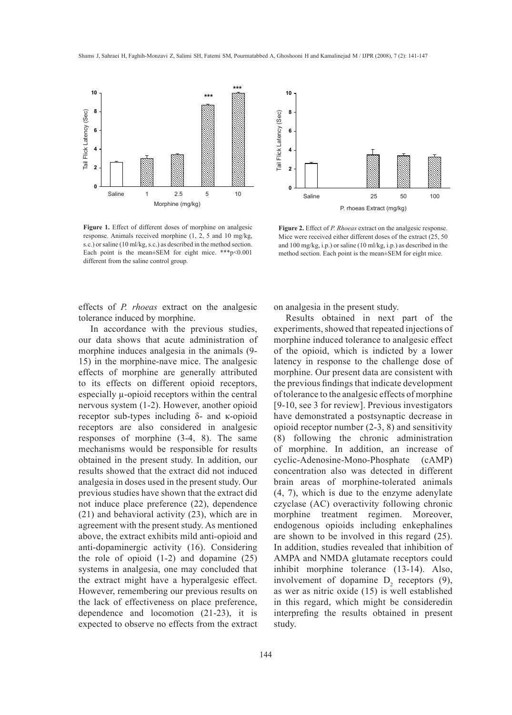

Figure 1. Effect of different doses of morphine on analgesic response. Animals received morphine (1, 2, 5 and 10 mg/kg, s.c.) or saline (10 ml/kg, s.c.) as described in the method section. Each point is the mean±SEM for eight mice. \*\*\*p<0.001 different from the saline control group.



**Figure 2.** Effect of *P. Rhoeas* extract on the analgesic response. Mice were received either different doses of the extract (25, 50 and 100 mg/kg, i.p.) or saline (10 ml/kg, i.p.) as described in the method section. Each point is the mean±SEM for eight mice.

effects of *P. rhoeas* extract on the analgesic tolerance induced by morphine.

In accordance with the previous studies, our data shows that acute administration of morphine induces analgesia in the animals (9- 15) in the morphine-nave mice. The analgesic effects of morphine are generally attributed to its effects on different opioid receptors, especially µ-opioid receptors within the central nervous system (1-2). However, another opioid receptor sub-types including δ- and κ-opioid receptors are also considered in analgesic responses of morphine (3-4, 8). The same mechanisms would be responsible for results obtained in the present study. In addition, our results showed that the extract did not induced analgesia in doses used in the present study. Our previous studies have shown that the extract did not induce place preference (22), dependence (21) and behavioral activity (23), which are in agreement with the present study. As mentioned above, the extract exhibits mild anti-opioid and anti-dopaminergic activity (16). Considering the role of opioid (1-2) and dopamine (25) systems in analgesia, one may concluded that the extract might have a hyperalgesic effect. However, remembering our previous results on the lack of effectiveness on place preference, dependence and locomotion (21-23), it is expected to observe no effects from the extract on analgesia in the present study.

Results obtained in next part of the experiments, showed that repeated injections of morphine induced tolerance to analgesic effect of the opioid, which is indicted by a lower latency in response to the challenge dose of morphine. Our present data are consistent with the previous findings that indicate development of tolerance to the analgesic effects of morphine [9-10, see 3 for review]. Previous investigators have demonstrated a postsynaptic decrease in opioid receptor number (2-3, 8) and sensitivity (8) following the chronic administration of morphine. In addition, an increase of cyclic-Adenosine-Mono-Phosphate (cAMP) concentration also was detected in different brain areas of morphine-tolerated animals (4, 7), which is due to the enzyme adenylate czyclase (AC) overactivity following chronic morphine treatment regimen. Moreover, endogenous opioids including enkephalines are shown to be involved in this regard (25). In addition, studies revealed that inhibition of AMPA and NMDA glutamate receptors could inhibit morphine tolerance (13-14). Also, involvement of dopamine  $D_2$  receptors (9), as wer as nitric oxide (15) is well established in this regard, which might be consideredin interprefing the results obtained in present study.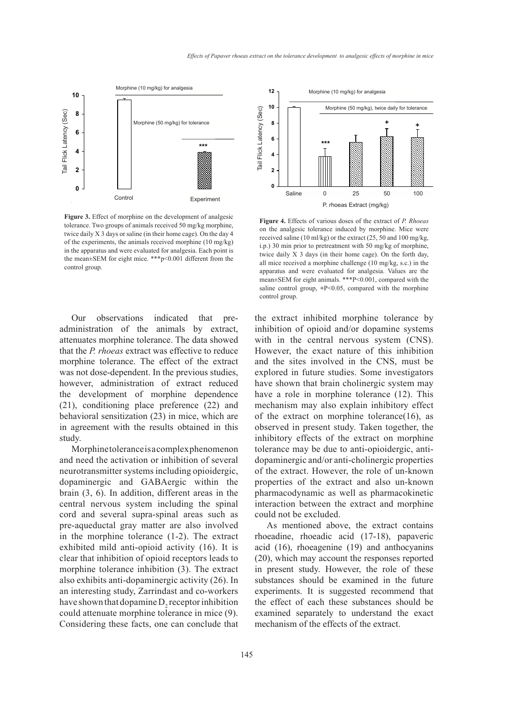

Figure 3. Effect of morphine on the development of analgesic tolerance. Two groups of animals received 50 mg/kg morphine, twice daily X 3 days or saline (in their home cage). On the day 4 of the experiments, the animals received morphine (10 mg/kg) in the apparatus and were evaluated for analgesia. Each point is the mean±SEM for eight mice. \*\*\*p<0.001 different from the control group.

Our observations indicated that preadministration of the animals by extract, attenuates morphine tolerance. The data showed that the *P. rhoeas* extract was effective to reduce morphine tolerance. The effect of the extract was not dose-dependent. In the previous studies, however, administration of extract reduced the development of morphine dependence (21), conditioning place preference (22) and behavioral sensitization (23) in mice, which are in agreement with the results obtained in this study.

Morphine tolerance is a complex phenomenon and need the activation or inhibition of several neurotransmitter systems including opioidergic, dopaminergic and GABAergic within the brain (3, 6). In addition, different areas in the central nervous system including the spinal cord and several supra-spinal areas such as pre-aqueductal gray matter are also involved in the morphine tolerance (1-2). The extract exhibited mild anti-opioid activity (16). It is clear that inhibition of opioid receptors leads to morphine tolerance inhibition (3). The extract also exhibits anti-dopaminergic activity (26). In an interesting study, Zarrindast and co-workers have shown that dopamine  $D_2$  receptor inhibition could attenuate morphine tolerance in mice (9). Considering these facts, one can conclude that



**Figure 4.** Effects of various doses of the extract of *P. Rhoeas* on the analgesic tolerance induced by morphine. Mice were received saline (10 ml/kg) or the extract (25, 50 and 100 mg/kg, i.p.) 30 min prior to pretreatment with 50 mg/kg of morphine, twice daily X 3 days (in their home cage). On the forth day, all mice received a morphine challenge (10 mg/kg, s.c.) in the apparatus and were evaluated for analgesia. Values are the mean±SEM for eight animals. \*\*\*P<0.001, compared with the saline control group, **+**P<0.05, compared with the morphine control group.

the extract inhibited morphine tolerance by inhibition of opioid and/or dopamine systems with in the central nervous system (CNS). However, the exact nature of this inhibition and the sites involved in the CNS, must be explored in future studies. Some investigators have shown that brain cholinergic system may have a role in morphine tolerance (12). This mechanism may also explain inhibitory effect of the extract on morphine tolerance(16), as observed in present study. Taken together, the inhibitory effects of the extract on morphine tolerance may be due to anti-opioidergic, antidopaminergic and/or anti-cholinergic properties of the extract. However, the role of un-known properties of the extract and also un-known pharmacodynamic as well as pharmacokinetic interaction between the extract and morphine could not be excluded.

As mentioned above, the extract contains rhoeadine, rhoeadic acid (17-18), papaveric acid (16), rhoeagenine (19) and anthocyanins (20), which may account the responses reported in present study. However, the role of these substances should be examined in the future experiments. It is suggested recommend that the effect of each these substances should be examined separately to understand the exact mechanism of the effects of the extract.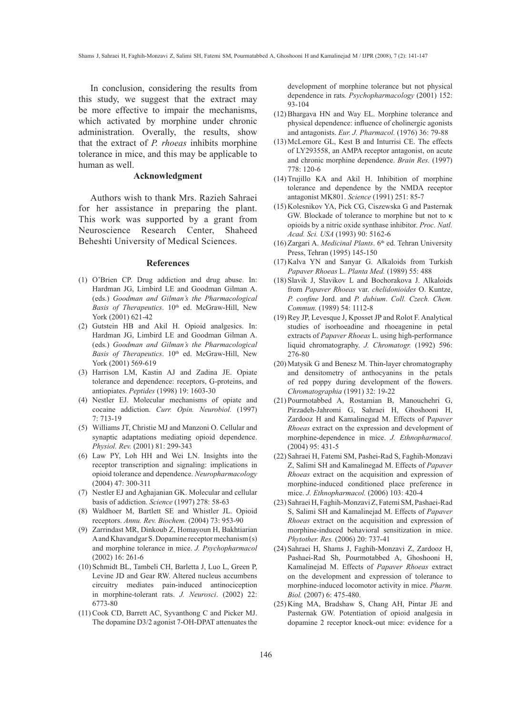In conclusion, considering the results from this study, we suggest that the extract may be more effective to impair the mechanisms, which activated by morphine under chronic administration. Overally, the results, show that the extract of *P. rhoeas* inhibits morphine tolerance in mice, and this may be applicable to human as well.

### **Acknowledgment**

Authors wish to thank Mrs. Razieh Sahraei for her assistance in preparing the plant. This work was supported by a grant from Neuroscience Research Center, Shaheed Beheshti University of Medical Sciences.

#### **References**

- (1) O'Brien CP. Drug addiction and drug abuse. In: Hardman JG, Limbird LE and Goodman Gilman A. (eds.) *Goodman and Gilman's the Pharmacological*  Basis of Therapeutics. 10<sup>th</sup> ed. McGraw-Hill, New York (2001) 621-42
- (2) Gutstein HB and Akil H. Opioid analgesics. In: Hardman JG, Limbird LE and Goodman Gilman A. (eds.) *Goodman and Gilman's the Pharmacological*  Basis of Therapeutics. 10<sup>th</sup> ed. McGraw-Hill, New York (2001) 569-619
- (3) Harrison LM, Kastin AJ and Zadina JE. Opiate tolerance and dependence: receptors, G-proteins, and antiopiates. *Peptides* (1998) 19: 1603-30
- (4) Nestler EJ. Molecular mechanisms of opiate and cocaine addiction. *Curr. Opin. Neurobiol.* (1997) 7: 713-19
- Williams JT, Christie MJ and Manzoni O. Cellular and (5) synaptic adaptations mediating opioid dependence. *Physiol. Rev.* (2001) 81: 299-343
- Law PY, Loh HH and Wei LN. Insights into the (6) receptor transcription and signaling: implications in opioid tolerance and dependence. *Neuropharmacology* (2004) 47: 300-311
- (7) Nestler EJ and Aghajanian GK. Molecular and cellular basis of addiction. *Science* (1997) 278: 58-63
- Waldhoer M, Bartlett SE and Whistler JL. Opioid (8) receptors. *Annu. Rev. Biochem.* (2004) 73: 953-90
- Zarrindast MR, Dinkoub Z, Homayoun H, Bakhtiarian (9) A and Khavandgar S. Dopamine receptor mechanism (s) and morphine tolerance in mice. *J. Psychopharmacol* (2002) 16: 261-6
- (10) Schmidt BL, Tambeli CH, Barletta J, Luo L, Green P, Levine JD and Gear RW. Altered nucleus accumbens circuitry mediates pain-induced antinociception in morphine-tolerant rats. *J. Neurosci*. (2002) 22: 6773-80
- $(11)$  Cook CD, Barrett AC, Syvanthong C and Picker MJ. The dopamine D3/2 agonist 7-OH-DPAT attenuates the

development of morphine tolerance but not physical dependence in rats*. Psychopharmacology* (2001) 152: 93-104

- $(12)$  Bhargava HN and Way EL. Morphine tolerance and physical dependence: influence of cholinergic agonists and antagonists. *Eur. J. Pharmacol.* (1976) 36: 79-88
- McLemore GL, Kest B and Inturrisi CE. The effects (13) of LY293558, an AMPA receptor antagonist, on acute and chronic morphine dependence. *Brain Res.* (1997) 778: 120-6
- $(14)$  Trujillo KA and Akil H. Inhibition of morphine tolerance and dependence by the NMDA receptor antagonist MK801. *Science* (1991) 251: 85-7
- (15) Kolesnikov YA, Pick CG, Ciszewska G and Pasternak GW. Blockade of tolerance to morphine but not to κ opioids by a nitric oxide synthase inhibitor. *Proc. Natl. Acad. Sci. USA* (1993) 90: 5162-6
- $(16)$  Zargari A. *Medicinal Plants*.  $6<sup>th</sup>$  ed. Tehran University Press, Tehran (1995) 145-150
- $(17)$  Kalva YN and Sanyar G. Alkaloids from Turkish *Papaver Rhoeas* L. *Planta Med.* (1989) 55: 488
- Slavik J, Slavikov L and Bochorakova J. Alkaloids (18) from *Papaver Rhoeas* var. *chelidonioides* O. Kuntze, *P. confine* Jord. and *P. dubium*. *Coll. Czech. Chem. Commun.* (1989) 54: 1112-8
- $(19)$  Rey JP, Levesque J, Kposset JP and Rolot F. Analytical studies of isorhoeadine and rhoeagenine in petal extracts of *Papaver Rhoeas* L. using high-performance liquid chromatography. *J. Chromatogr.* (1992) 596: 276-80
- (20) Matysik G and Benesz M. Thin-layer chromatography and densitometry of anthocyanins in the petals of red poppy during development of the flowers. *Chromatographia* (1991) 32: 19-22
- (21) Pourmotabbed A, Rostamian B, Manouchehri G, Pirzadeh-Jahromi G, Sahraei H, Ghoshooni H, Zardooz H and Kamalinegad M. Effects of P*apaver Rhoeas* extract on the expression and development of morphine-dependence in mice. *J. Ethnopharmacol.*  (2004) 95: 431-5
- (22) Sahraei H, Fatemi SM, Pashei-Rad S, Faghih-Monzavi Z, Salimi SH and Kamalinegad M. Effects of *Papaver Rhoeas* extract on the acquisition and expression of morphine-induced conditioned place preference in mice. *J. Ethnopharmacol.* (2006) 103: 420-4
- (23) Sahraei H, Faghih-Monzavi Z, Fatemi SM, Pashaei-Rad S, Salimi SH and Kamalinejad M. Effects of *Papaver Rhoeas* extract on the acquisition and expression of morphine-induced behavioral sensitization in mice. *Phytother. Res.* (2006) 20: 737-41
- (24) Sahraei H, Shams J, Faghih-Monzavi Z, Zardooz H, Pashaei-Rad Sh, Pourmotabbed A, Ghoshooni H, Kamalinejad M. Effects of *Papaver Rhoeas* extract on the development and expression of tolerance to morphine-induced locomotor activity in mice. *Pharm. Biol.* (2007) 6: 475-480.
- (25) King MA, Bradshaw S, Chang AH, Pintar JE and Pasternak GW. Potentiation of opioid analgesia in dopamine 2 receptor knock-out mice: evidence for a